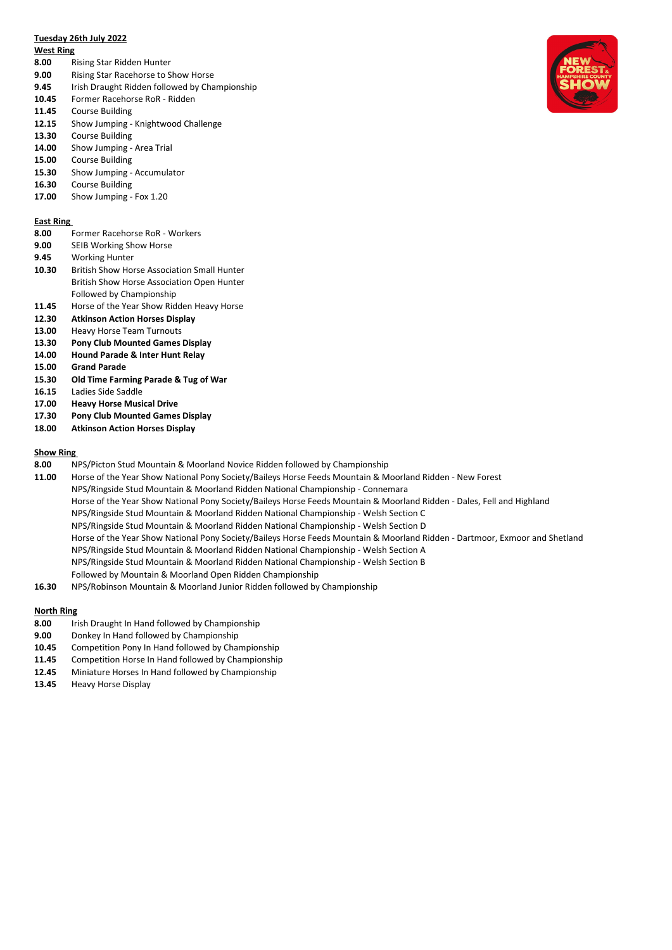# **Tuesday 26th July 2022**

#### **West Ring**

- **8.00** Rising Star Ridden Hunter
- **9.00** Rising Star Racehorse to Show Horse
- **9.45** Irish Draught Ridden followed by Championship
- **10.45** Former Racehorse RoR Ridden
- **11.45** Course Building
- **12.15** Show Jumping Knightwood Challenge
- **13.30** Course Building
- **14.00** Show Jumping Area Trial
- **15.00** Course Building
- **15.30** Show Jumping Accumulator
- **16.30** Course Building
- **17.00** Show Jumping Fox 1.20

### **East Ring**

- **8.00** Former Racehorse RoR Workers
- **9.00** SEIB Working Show Horse
- **9.45** Working Hunter
- **10.30** British Show Horse Association Small Hunter
- British Show Horse Association Open Hunter
- Followed by Championship
- **11.45** Horse of the Year Show Ridden Heavy Horse
- **12.30 Atkinson Action Horses Display**
- **13.00** Heavy Horse Team Turnouts
- **13.30 Pony Club Mounted Games Display**
- **14.00 Hound Parade & Inter Hunt Relay**
- **15.00 Grand Parade**
- **15.30 Old Time Farming Parade & Tug of War**
- **16.15** Ladies Side Saddle
- **17.00 Heavy Horse Musical Drive**
- **17.30 Pony Club Mounted Games Display**
- **18.00 Atkinson Action Horses Display**

# **Show Ring**

- **8.00** NPS/Picton Stud Mountain & Moorland Novice Ridden followed by Championship
- **11.00** Horse of the Year Show National Pony Society/Baileys Horse Feeds Mountain & Moorland Ridden New Forest NPS/Ringside Stud Mountain & Moorland Ridden National Championship - Connemara Horse of the Year Show National Pony Society/Baileys Horse Feeds Mountain & Moorland Ridden - Dales, Fell and Highland NPS/Ringside Stud Mountain & Moorland Ridden National Championship - Welsh Section C NPS/Ringside Stud Mountain & Moorland Ridden National Championship - Welsh Section D Horse of the Year Show National Pony Society/Baileys Horse Feeds Mountain & Moorland Ridden - Dartmoor, Exmoor and Shetland NPS/Ringside Stud Mountain & Moorland Ridden National Championship - Welsh Section A NPS/Ringside Stud Mountain & Moorland Ridden National Championship - Welsh Section B Followed by Mountain & Moorland Open Ridden Championship
- **16.30** NPS/Robinson Mountain & Moorland Junior Ridden followed by Championship

## **North Ring**

- **8.00** Irish Draught In Hand followed by Championship
- **9.00** Donkey In Hand followed by Championship
- **10.45** Competition Pony In Hand followed by Championship
- **11.45** Competition Horse In Hand followed by Championship
- **12.45** Miniature Horses In Hand followed by Championship
- **13.45** Heavy Horse Display

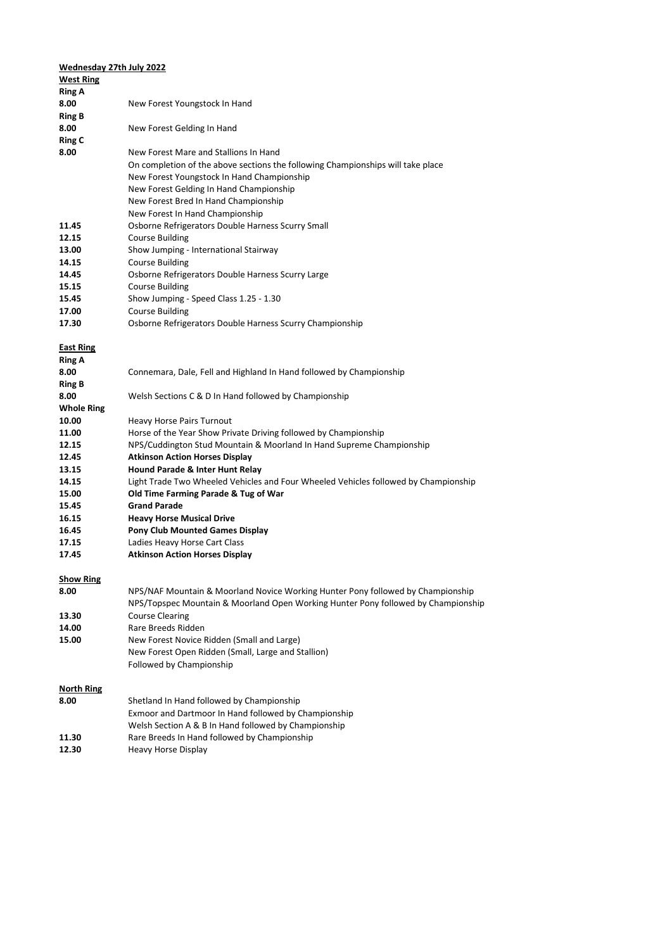| Wednesday 27th July 2022 |                                                                                                                                         |
|--------------------------|-----------------------------------------------------------------------------------------------------------------------------------------|
| <b>West Ring</b>         |                                                                                                                                         |
| Ring A                   |                                                                                                                                         |
| 8.00                     | New Forest Youngstock In Hand                                                                                                           |
| <b>Ring B</b>            |                                                                                                                                         |
| 8.00                     | New Forest Gelding In Hand                                                                                                              |
| <b>Ring C</b>            |                                                                                                                                         |
| 8.00                     | New Forest Mare and Stallions In Hand                                                                                                   |
|                          | On completion of the above sections the following Championships will take place                                                         |
|                          | New Forest Youngstock In Hand Championship                                                                                              |
|                          | New Forest Gelding In Hand Championship                                                                                                 |
|                          | New Forest Bred In Hand Championship                                                                                                    |
|                          | New Forest In Hand Championship                                                                                                         |
| 11.45                    | Osborne Refrigerators Double Harness Scurry Small                                                                                       |
| 12.15                    | <b>Course Building</b>                                                                                                                  |
| 13.00                    | Show Jumping - International Stairway                                                                                                   |
| 14.15                    | <b>Course Building</b>                                                                                                                  |
| 14.45                    | Osborne Refrigerators Double Harness Scurry Large                                                                                       |
| 15.15                    | <b>Course Building</b>                                                                                                                  |
| 15.45                    | Show Jumping - Speed Class 1.25 - 1.30                                                                                                  |
| 17.00                    | <b>Course Building</b>                                                                                                                  |
| 17.30                    | Osborne Refrigerators Double Harness Scurry Championship                                                                                |
|                          |                                                                                                                                         |
| <b>East Ring</b>         |                                                                                                                                         |
| <b>Ring A</b>            |                                                                                                                                         |
| 8.00                     | Connemara, Dale, Fell and Highland In Hand followed by Championship                                                                     |
| <b>Ring B</b>            |                                                                                                                                         |
| 8.00                     | Welsh Sections C & D In Hand followed by Championship                                                                                   |
| <b>Whole Ring</b>        |                                                                                                                                         |
| 10.00<br>11.00           | <b>Heavy Horse Pairs Turnout</b>                                                                                                        |
| 12.15                    | Horse of the Year Show Private Driving followed by Championship<br>NPS/Cuddington Stud Mountain & Moorland In Hand Supreme Championship |
| 12.45                    | <b>Atkinson Action Horses Display</b>                                                                                                   |
| 13.15                    | <b>Hound Parade &amp; Inter Hunt Relay</b>                                                                                              |
| 14.15                    | Light Trade Two Wheeled Vehicles and Four Wheeled Vehicles followed by Championship                                                     |
| 15.00                    | Old Time Farming Parade & Tug of War                                                                                                    |
| 15.45                    | <b>Grand Parade</b>                                                                                                                     |
| 16.15                    | <b>Heavy Horse Musical Drive</b>                                                                                                        |
| 16.45                    | <b>Pony Club Mounted Games Display</b>                                                                                                  |
| 17.15                    | Ladies Heavy Horse Cart Class                                                                                                           |
| 17.45                    | <b>Atkinson Action Horses Display</b>                                                                                                   |
|                          |                                                                                                                                         |
| <b>Show Ring</b>         |                                                                                                                                         |
| 8.00                     | NPS/NAF Mountain & Moorland Novice Working Hunter Pony followed by Championship                                                         |
|                          | NPS/Topspec Mountain & Moorland Open Working Hunter Pony followed by Championship                                                       |
| 13.30                    | <b>Course Clearing</b>                                                                                                                  |
| 14.00                    | Rare Breeds Ridden                                                                                                                      |
| 15.00                    | New Forest Novice Ridden (Small and Large)                                                                                              |
|                          | New Forest Open Ridden (Small, Large and Stallion)                                                                                      |
|                          | Followed by Championship                                                                                                                |
|                          |                                                                                                                                         |
| <b>North Ring</b>        | Shetland In Hand followed by Championship                                                                                               |
| 8.00                     | Exmoor and Dartmoor In Hand followed by Championship                                                                                    |
|                          |                                                                                                                                         |
| 11.30                    | Welsh Section A & B In Hand followed by Championship<br>Rare Breeds In Hand followed by Championship                                    |
| 12.30                    | Heavy Horse Display                                                                                                                     |
|                          |                                                                                                                                         |